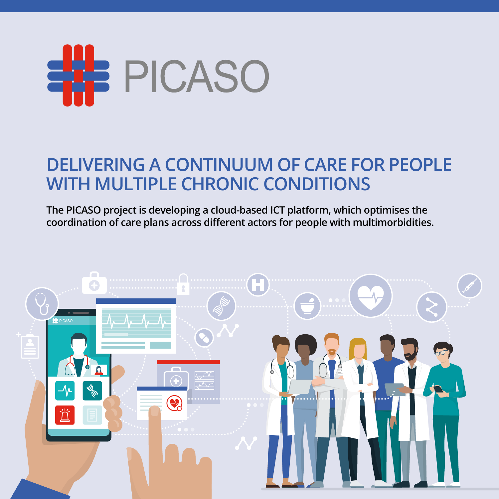

# **DELIVERING A CONTINUUM OF CARE FOR PEOPLE WITH MULTIPLE CHRONIC CONDITIONS**

**The PICASO project is developing a cloud-based ICT platform, which optimises the coordination of care plans across different actors for people with multimorbidities.**

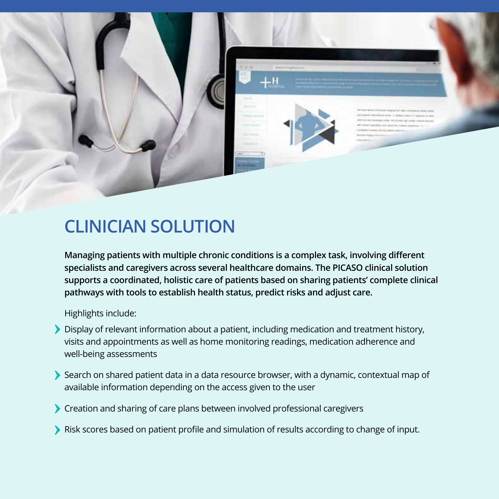

### **CLINICIAN SOLUTION**

**Managing patients with multiple chronic conditions is a complex task, involving different specialists and caregivers across several healthcare domains. The PICASO clinical solution supports a coordinated, holistic care of patients based on sharing patients' complete clinical pathways with tools to establish health status, predict risks and adjust care.**

Highlights include:

- Display of relevant information about a patient, including medication and treatment history, visits and appointments as well as home monitoring readings, medication adherence and well-being assessments
- Search on shared patient data in a data resource browser, with a dynamic, contextual map of available information depending on the access given to the user
- Creation and sharing of care plans between involved professional caregivers
- Risk scores based on patient profile and simulation of results according to change of input.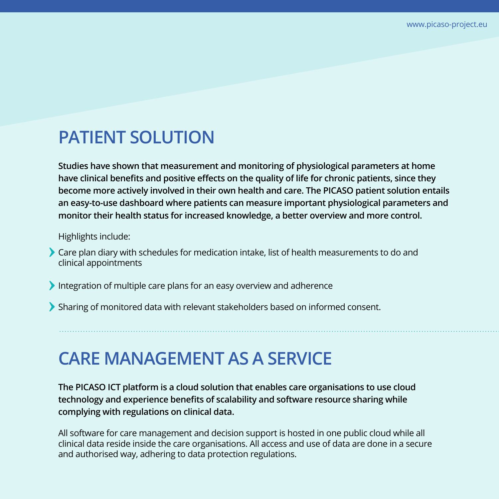# **PATIENT SOLUTION**

**Studies have shown that measurement and monitoring of physiological parameters at home have clinical benefits and positive effects on the quality of life for chronic patients, since they become more actively involved in their own health and care. The PICASO patient solution entails an easy-to-use dashboard where patients can measure important physiological parameters and monitor their health status for increased knowledge, a better overview and more control.** 

Highlights include:

- Care plan diary with schedules for medication intake, list of health measurements to do and clinical appointments
- Integration of multiple care plans for an easy overview and adherence
- Sharing of monitored data with relevant stakeholders based on informed consent.

## **CARE MANAGEMENT AS A SERVICE**

**The PICASO ICT platform is a cloud solution that enables care organisations to use cloud technology and experience benefits of scalability and software resource sharing while complying with regulations on clinical data.** 

All software for care management and decision support is hosted in one public cloud while all clinical data reside inside the care organisations. All access and use of data are done in a secure and authorised way, adhering to data protection regulations.